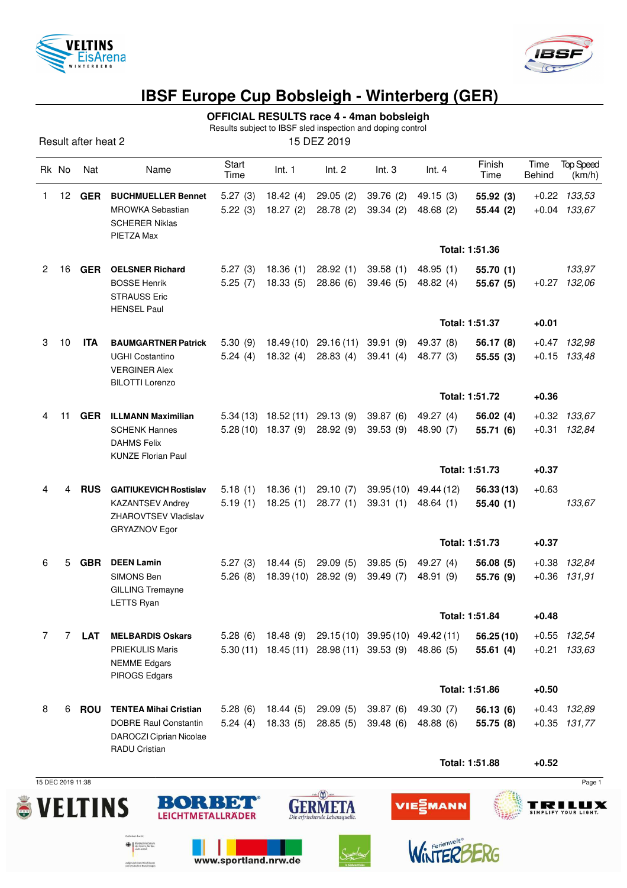



## **IBSF Europe Cup Bobsleigh - Winterberg (GER)**

**OFFICIAL RESULTS race 4 - 4man bobsleigh**

Results subject to IBSF sled inspection and doping control

Result after heat 2 15 DEZ 2019

|    | Rk No             | Nat        | Name                                                                                                            | Start<br>Time      | Int. 1                                                | Int. 2                                     | Int.3                                      | Int.4                  | Finish<br>Time         | Time<br><b>Behind</b> | <b>Top Speed</b><br>(km/h)         |
|----|-------------------|------------|-----------------------------------------------------------------------------------------------------------------|--------------------|-------------------------------------------------------|--------------------------------------------|--------------------------------------------|------------------------|------------------------|-----------------------|------------------------------------|
| 1. | 12                | GER        | <b>BUCHMUELLER Bennet</b><br><b>MROWKA Sebastian</b><br><b>SCHERER Niklas</b><br>PIETZA Max                     | 5.27(3)<br>5.22(3) | 18.42(4)<br>18.27(2)                                  | 29.05(2)<br>28.78(2)                       | 39.76(2)<br>39.34(2)                       | 49.15(3)<br>48.68(2)   | 55.92(3)<br>55.44 (2)  |                       | $+0.22$ $133,53$<br>$+0.04$ 133,67 |
|    |                   |            |                                                                                                                 |                    |                                                       |                                            |                                            |                        | Total: 1:51.36         |                       |                                    |
| 2  | 16                | <b>GER</b> | <b>OELSNER Richard</b><br><b>BOSSE Henrik</b><br><b>STRAUSS Eric</b><br><b>HENSEL Paul</b>                      | 5.27(3)<br>5.25(7) | 18.36(1)<br>18.33(5)                                  | 28.92(1)<br>28.86(6)                       | 39.58(1)<br>39.46(5)                       | 48.95 (1)<br>48.82(4)  | 55.70(1)<br>55.67(5)   |                       | 133,97<br>$+0.27$ 132,06           |
|    |                   |            |                                                                                                                 |                    |                                                       |                                            |                                            |                        | Total: 1:51.37         | $+0.01$               |                                    |
| 3  | 10                | <b>ITA</b> | <b>BAUMGARTNER Patrick</b><br><b>UGHI Costantino</b><br><b>VERGINER Alex</b><br><b>BILOTTI Lorenzo</b>          | 5.30(9)<br>5.24(4) | 18.49 (10)<br>18.32 (4)                               | 29.16 (11)<br>28.83(4)                     | 39.91 (9)<br>39.41(4)                      | 49.37 (8)<br>48.77 (3) | 56.17 (8)<br>55.55(3)  |                       | +0.47 132,98<br>$+0.15$ 133,48     |
|    |                   |            |                                                                                                                 |                    |                                                       |                                            |                                            |                        | Total: 1:51.72         | $+0.36$               |                                    |
| 4  | 11                | <b>GER</b> | <b>ILLMANN Maximilian</b><br><b>SCHENK Hannes</b><br><b>DAHMS Felix</b><br><b>KUNZE Florian Paul</b>            |                    | $5.34(13)$ 18.52(11) 29.13(9)<br>$5.28(10)$ 18.37 (9) | 28.92 (9)                                  | 39.87(6)<br>39.53 (9)                      | 49.27 (4)<br>48.90 (7) | 56.02(4)<br>55.71 (6)  |                       | $+0.32$ $133,67$<br>+0.31 132,84   |
|    |                   |            |                                                                                                                 |                    |                                                       |                                            |                                            |                        | Total: 1:51.73         | $+0.37$               |                                    |
| 4  | 4                 | <b>RUS</b> | <b>GAITIUKEVICH Rostislav</b><br><b>KAZANTSEV Andrey</b><br>ZHAROVTSEV Vladislav<br><b>GRYAZNOV Egor</b>        | 5.18(1)<br>5.19(1) | 18.36(1)<br>18.25(1)                                  | 29.10(7)<br>28.77(1)                       | 39.95 (10)<br>39.31(1)                     | 49.44 (12)<br>48.64(1) | 56.33(13)<br>55.40(1)  | $+0.63$               | 133,67                             |
|    |                   |            |                                                                                                                 |                    |                                                       |                                            |                                            | Total: 1:51.73         |                        | $+0.37$               |                                    |
| 6  | 5                 | <b>GBR</b> | <b>DEEN Lamin</b><br>SIMONS Ben<br><b>GILLING Tremayne</b><br>LETTS Ryan                                        | 5.27(3)<br>5.26(8) | 18.44(5)<br>18.39(10)                                 | 29.09(5)<br>28.92(9)                       | 39.85(5)<br>39.49 (7)                      | 49.27 (4)<br>48.91 (9) | 56.08(5)<br>55.76 (9)  |                       | +0.38 132,84<br>$+0.36$ 131,91     |
|    |                   |            |                                                                                                                 |                    |                                                       |                                            |                                            |                        | Total: 1:51.84         | $+0.48$               |                                    |
| 7  | 7                 | LAT        | <b>MELBARDIS Oskars</b><br><b>PRIEKULIS Maris</b><br><b>NEMME</b> Edgars<br>PIROGS Edgars                       | 5.28(6)            |                                                       | $5.30(11)$ 18.45 (11) 28.98 (11) 39.53 (9) | 18.48 (9) 29.15 (10) 39.95 (10) 49.42 (11) | 48.86 (5)              | 56.25(10)<br>55.61(4)  |                       | +0.55 132,54<br>$+0.21$ $133,63$   |
|    |                   |            |                                                                                                                 |                    |                                                       |                                            |                                            |                        | Total: 1:51.86         | $+0.50$               |                                    |
| 8  | 6                 | <b>ROU</b> | <b>TENTEA Mihai Cristian</b><br><b>DOBRE Raul Constantin</b><br>DAROCZI Ciprian Nicolae<br><b>RADU Cristian</b> | 5.28(6)<br>5.24(4) | 18.44 (5)<br>18.33(5)                                 | 29.09(5)<br>28.85(5)                       | 39.87 (6)<br>39.48(6)                      | 49.30 (7)<br>48.88 (6) | 56.13 (6)<br>55.75 (8) |                       | +0.43 132,89<br>$+0.35$ 131,77     |
|    |                   |            |                                                                                                                 |                    |                                                       |                                            |                                            |                        | Total: 1:51.88         | $+0.52$               |                                    |
|    | 15 DEC 2019 11:38 |            |                                                                                                                 |                    |                                                       |                                            |                                            |                        |                        |                       | Page 1                             |





www.sportland.nrw.de

**OR** Bundesministerium<br>
als Innern, für Bau<br>
und Heimat

aufgrund eines Beschlusses<br>des Deutschen Bundestages

BORBET





VIE⋛MANN

**TRILUX**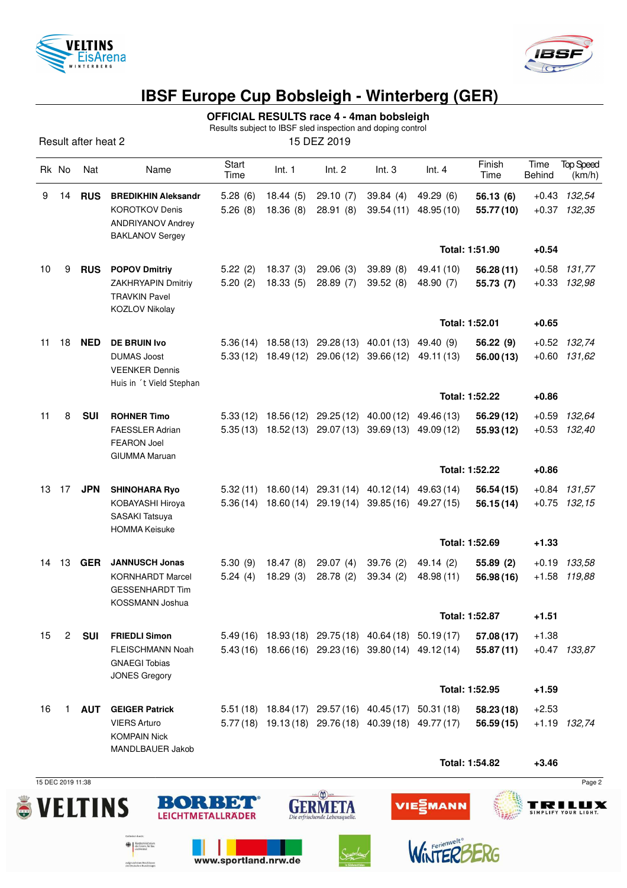



## **IBSF Europe Cup Bobsleigh - Winterberg (GER)**

**OFFICIAL RESULTS race 4 - 4man bobsleigh**

Results subject to IBSF sled inspection and doping control

Result after heat 2 15 DEZ 2019

|    | Rk No | Nat        | Name                                                                                               | Start<br>Time        | Int. 1               | Int. 2                                         | Int.3                                                                                                          | Int.4                    | Finish<br>Time          | Time<br>Behind | <b>Top Speed</b><br>(km/h)       |
|----|-------|------------|----------------------------------------------------------------------------------------------------|----------------------|----------------------|------------------------------------------------|----------------------------------------------------------------------------------------------------------------|--------------------------|-------------------------|----------------|----------------------------------|
| 9  | 14    | <b>RUS</b> | <b>BREDIKHIN Aleksandr</b><br><b>KOROTKOV Denis</b><br>ANDRIYANOV Andrey<br><b>BAKLANOV Sergey</b> | 5.28(6)<br>5.26(8)   | 18.44(5)<br>18.36(8) | 29.10(7)<br>28.91 (8)                          | 39.84(4)<br>39.54(11)                                                                                          | 49.29 (6)<br>48.95 (10)  | 56.13(6)<br>55.77 (10)  |                | $+0.43$ 132,54<br>$+0.37$ 132,35 |
|    |       |            |                                                                                                    |                      |                      |                                                |                                                                                                                |                          | Total: 1:51.90          | $+0.54$        |                                  |
| 10 | 9     | <b>RUS</b> | <b>POPOV Dmitriy</b><br>ZAKHRYAPIN Dmitriy<br><b>TRAVKIN Pavel</b><br><b>KOZLOV Nikolay</b>        | 5.22(2)<br>5.20(2)   | 18.37(3)<br>18.33(5) | 29.06(3)<br>28.89 (7)                          | 39.89(8)<br>39.52 (8)                                                                                          | 49.41 (10)<br>48.90 (7)  | 56.28(11)<br>55.73 (7)  | $+0.58$        | 131,77<br>+0.33 132,98           |
|    |       |            |                                                                                                    |                      |                      |                                                |                                                                                                                |                          | Total: 1:52.01          | $+0.65$        |                                  |
| 11 | 18    | <b>NED</b> | <b>DE BRUIN Ivo</b><br><b>DUMAS Joost</b><br><b>VEENKER Dennis</b><br>Huis in 't Vield Stephan     | 5.36(14)<br>5.33(12) |                      | 18.58 (13) 29.28 (13)<br>18.49 (12) 29.06 (12) | 40.01 (13)<br>39.66 (12)                                                                                       | 49.40 (9)<br>49.11 (13)  | 56.22 (9)<br>56.00(13)  |                | +0.52 132,74<br>$+0.60$ 131,62   |
|    |       |            |                                                                                                    |                      |                      |                                                |                                                                                                                |                          | Total: 1:52.22          | $+0.86$        |                                  |
| 11 | 8     | <b>SUI</b> | <b>ROHNER Timo</b><br><b>FAESSLER Adrian</b><br><b>FEARON Joel</b><br><b>GIUMMA Maruan</b>         | 5.33(12)             |                      | 18.56 (12) 29.25 (12)                          | 40.00 (12)<br>$5.35(13)$ $18.52(13)$ $29.07(13)$ $39.69(13)$                                                   | 49.46 (13)<br>49.09 (12) | 56.29 (12)<br>55.93(12) | $+0.59$        | 132,64<br>$+0.53$ $132,40$       |
|    |       |            |                                                                                                    |                      |                      |                                                |                                                                                                                |                          | Total: 1:52.22          | $+0.86$        |                                  |
| 13 | 17    | <b>JPN</b> | <b>SHINOHARA Ryo</b><br>KOBAYASHI Hiroya<br>SASAKI Tatsuya<br><b>HOMMA Keisuke</b>                 | 5.32(11)<br>5.36(14) |                      | 18.60 (14) 29.31 (14)                          | 40.12 (14)<br>18.60 (14) 29.19 (14) 39.85 (16)                                                                 | 49.63 (14)<br>49.27 (15) | 56.54(15)<br>56.15(14)  |                | $+0.84$ 131,57<br>$+0.75$ 132,15 |
|    |       |            |                                                                                                    |                      |                      |                                                |                                                                                                                | Total: 1:52.69           |                         | $+1.33$        |                                  |
| 14 | 13    | <b>GER</b> | <b>JANNUSCH Jonas</b><br><b>KORNHARDT Marcel</b><br><b>GESSENHARDT Tim</b><br>KOSSMANN Joshua      | 5.30(9)<br>5.24(4)   | 18.47(8)<br>18.29(3) | 29.07(4)<br>28.78 (2)                          | 39.76(2)<br>39.34 (2)                                                                                          | 49.14 (2)<br>48.98 (11)  | 55.89 (2)<br>56.98 (16) |                | +0.19 133,58<br>+1.58 119,88     |
|    |       |            |                                                                                                    |                      |                      |                                                |                                                                                                                |                          | Total: 1:52.87          | +1.51          |                                  |
| 15 | 2     | SUI        | <b>FRIEDLI Simon</b><br>FLEISCHMANN Noah<br><b>GNAEGI Tobias</b><br><b>JONES Gregory</b>           |                      |                      |                                                | 5.49 (16) 18.93 (18) 29.75 (18) 40.64 (18) 50.19 (17)<br>5.43 (16) 18.66 (16) 29.23 (16) 39.80 (14) 49.12 (14) |                          | 57.08(17)<br>55.87(11)  | $+1.38$        | $+0.47$ 133,87                   |
|    |       |            |                                                                                                    |                      |                      |                                                |                                                                                                                |                          | Total: 1:52.95          | $+1.59$        |                                  |
| 16 | 1.    | AUT        | <b>GEIGER Patrick</b><br><b>VIERS Arturo</b><br><b>KOMPAIN Nick</b><br>MANDLBAUER Jakob            |                      |                      |                                                | 5.51 (18) 18.84 (17) 29.57 (16) 40.45 (17) 50.31 (18)<br>5.77 (18) 19.13 (18) 29.76 (18) 40.39 (18) 49.77 (17) |                          | 58.23 (18)<br>56.59(15) | $+2.53$        | +1.19 132,74                     |
|    |       |            |                                                                                                    |                      |                      |                                                |                                                                                                                |                          | Total: 1:54.82          | $+3.46$        |                                  |

15 DEC 2019 11:38 Page 2



**OR** Bundesministerium<br>
als Innern, für Bau<br>
und Heimat

aufgrund eines Beschlusses<br>des Deutschen Bundestages



www.sportland.nrw.de





WinTERE